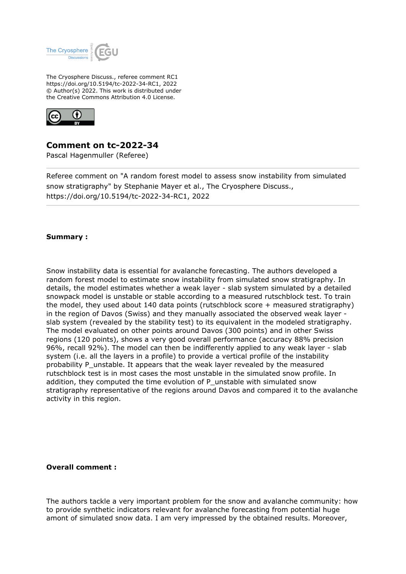

The Cryosphere Discuss., referee comment RC1 https://doi.org/10.5194/tc-2022-34-RC1, 2022 © Author(s) 2022. This work is distributed under the Creative Commons Attribution 4.0 License.



# **Comment on tc-2022-34**

Pascal Hagenmuller (Referee)

Referee comment on "A random forest model to assess snow instability from simulated snow stratigraphy" by Stephanie Mayer et al., The Cryosphere Discuss., https://doi.org/10.5194/tc-2022-34-RC1, 2022

#### **Summary :**

Snow instability data is essential for avalanche forecasting. The authors developed a random forest model to estimate snow instability from simulated snow stratigraphy. In details, the model estimates whether a weak layer - slab system simulated by a detailed snowpack model is unstable or stable according to a measured rutschblock test. To train the model, they used about 140 data points (rutschblock score + measured stratigraphy) in the region of Davos (Swiss) and they manually associated the observed weak layer slab system (revealed by the stability test) to its equivalent in the modeled stratigraphy. The model evaluated on other points around Davos (300 points) and in other Swiss regions (120 points), shows a very good overall performance (accuracy 88% precision 96%, recall 92%). The model can then be indifferently applied to any weak layer - slab system (i.e. all the layers in a profile) to provide a vertical profile of the instability probability P\_unstable. It appears that the weak layer revealed by the measured rutschblock test is in most cases the most unstable in the simulated snow profile. In addition, they computed the time evolution of P\_unstable with simulated snow stratigraphy representative of the regions around Davos and compared it to the avalanche activity in this region.

#### **Overall comment :**

The authors tackle a very important problem for the snow and avalanche community: how to provide synthetic indicators relevant for avalanche forecasting from potential huge amont of simulated snow data. I am very impressed by the obtained results. Moreover,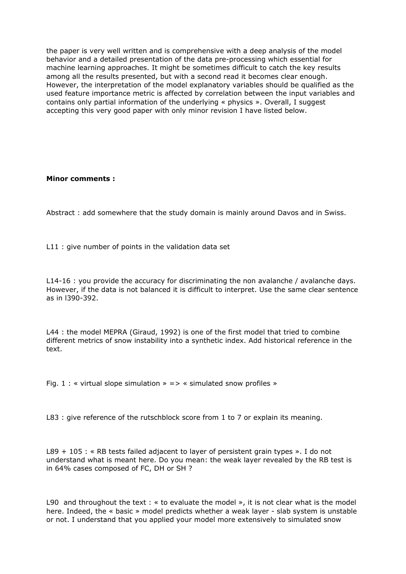the paper is very well written and is comprehensive with a deep analysis of the model behavior and a detailed presentation of the data pre-processing which essential for machine learning approaches. It might be sometimes difficult to catch the key results among all the results presented, but with a second read it becomes clear enough. However, the interpretation of the model explanatory variables should be qualified as the used feature importance metric is affected by correlation between the input variables and contains only partial information of the underlying « physics ». Overall, I suggest accepting this very good paper with only minor revision I have listed below.

### **Minor comments :**

Abstract : add somewhere that the study domain is mainly around Davos and in Swiss.

L11 : give number of points in the validation data set

L14-16 : you provide the accuracy for discriminating the non avalanche / avalanche days. However, if the data is not balanced it is difficult to interpret. Use the same clear sentence as in l390-392.

L44 : the model MEPRA (Giraud, 1992) is one of the first model that tried to combine different metrics of snow instability into a synthetic index. Add historical reference in the text.

Fig. 1 : « virtual slope simulation » => « simulated snow profiles »

L83 : give reference of the rutschblock score from 1 to 7 or explain its meaning.

L89 + 105 : « RB tests failed adjacent to layer of persistent grain types ». I do not understand what is meant here. Do you mean: the weak layer revealed by the RB test is in 64% cases composed of FC, DH or SH ?

L90 and throughout the text : « to evaluate the model », it is not clear what is the model here. Indeed, the « basic » model predicts whether a weak layer - slab system is unstable or not. I understand that you applied your model more extensively to simulated snow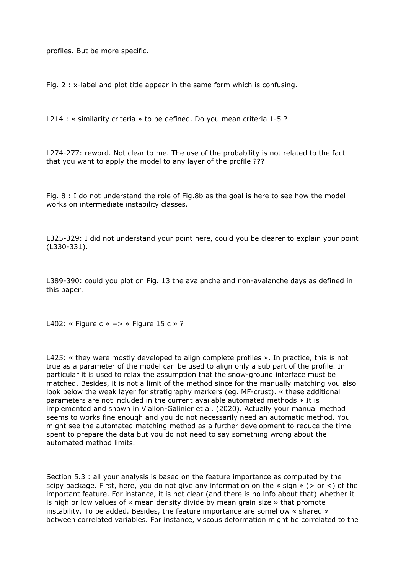profiles. But be more specific.

Fig. 2 : x-label and plot title appear in the same form which is confusing.

L214 : « similarity criteria » to be defined. Do you mean criteria 1-5 ?

L274-277: reword. Not clear to me. The use of the probability is not related to the fact that you want to apply the model to any layer of the profile ???

Fig. 8 : I do not understand the role of Fig.8b as the goal is here to see how the model works on intermediate instability classes.

L325-329: I did not understand your point here, could you be clearer to explain your point (L330-331).

L389-390: could you plot on Fig. 13 the avalanche and non-avalanche days as defined in this paper.

L402: « Figure c » => « Figure 15 c » ?

L425: « they were mostly developed to align complete profiles ». In practice, this is not true as a parameter of the model can be used to align only a sub part of the profile. In particular it is used to relax the assumption that the snow-ground interface must be matched. Besides, it is not a limit of the method since for the manually matching you also look below the weak layer for stratigraphy markers (eg. MF-crust). « these additional parameters are not included in the current available automated methods » It is implemented and shown in Viallon-Galinier et al. (2020). Actually your manual method seems to works fine enough and you do not necessarily need an automatic method. You might see the automated matching method as a further development to reduce the time spent to prepare the data but you do not need to say something wrong about the automated method limits.

Section 5.3 : all your analysis is based on the feature importance as computed by the scipy package. First, here, you do not give any information on the « sign » ( $>$  or  $\lt$ ) of the important feature. For instance, it is not clear (and there is no info about that) whether it is high or low values of « mean density divide by mean grain size » that promote instability. To be added. Besides, the feature importance are somehow « shared » between correlated variables. For instance, viscous deformation might be correlated to the